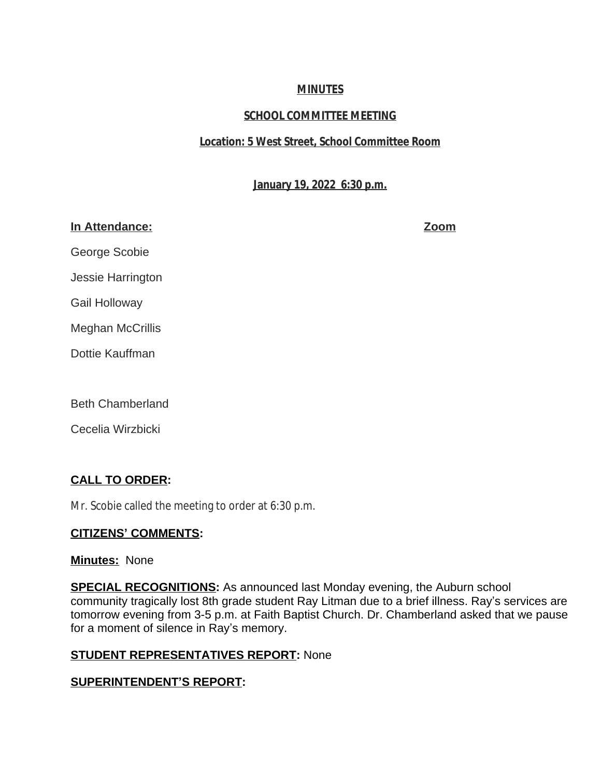# **MINUTES**

# **SCHOOL COMMITTEE MEETING**

# **Location: 5 West Street, School Committee Room**

# **January 19, 2022 6:30 p.m.**

# **In Attendance: Zoom**

George Scobie

Jessie Harrington

Gail Holloway

Meghan McCrillis

Dottie Kauffman

Beth Chamberland

Cecelia Wirzbicki

# **CALL TO ORDER:**

Mr. Scobie called the meeting to order at 6:30 p.m.

# **CITIZENS' COMMENTS:**

# **Minutes:** None

**SPECIAL RECOGNITIONS:** As announced last Monday evening, the Auburn school community tragically lost 8th grade student Ray Litman due to a brief illness. Ray's services are tomorrow evening from 3-5 p.m. at Faith Baptist Church. Dr. Chamberland asked that we pause for a moment of silence in Ray's memory.

# **STUDENT REPRESENTATIVES REPORT:** None

# **SUPERINTENDENT'S REPORT:**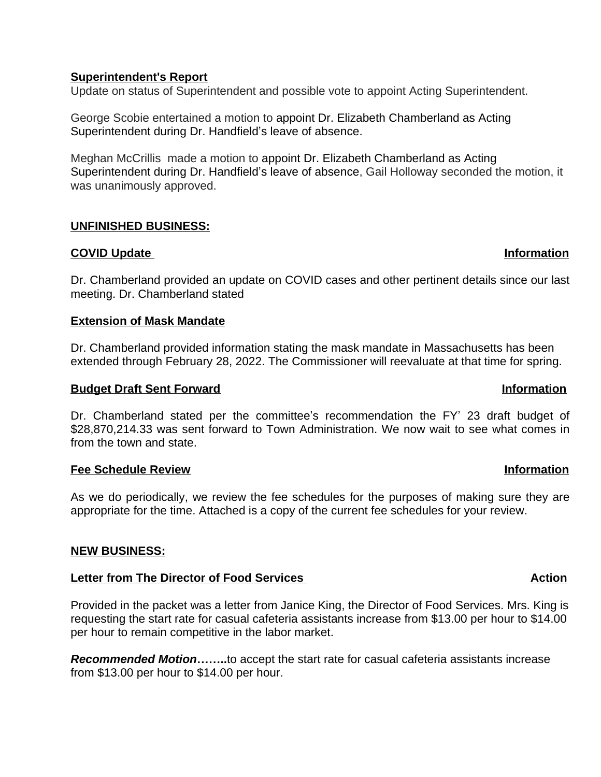# **Superintendent's Report**

Update on status of Superintendent and possible vote to appoint Acting Superintendent.

George Scobie entertained a motion to appoint Dr. Elizabeth Chamberland as Acting Superintendent during Dr. Handfield's leave of absence.

Meghan McCrillis made a motion to appoint Dr. Elizabeth Chamberland as Acting Superintendent during Dr. Handfield's leave of absence, Gail Holloway seconded the motion, it was unanimously approved.

# **UNFINISHED BUSINESS:**

# **COVID Update Information**

Dr. Chamberland provided an update on COVID cases and other pertinent details since our last meeting. Dr. Chamberland stated

# **Extension of Mask Mandate**

Dr. Chamberland provided information stating the mask mandate in Massachusetts has been extended through February 28, 2022. The Commissioner will reevaluate at that time for spring.

# **Budget Draft Sent Forward Information Information**

Dr. Chamberland stated per the committee's recommendation the FY' 23 draft budget of \$28,870,214.33 was sent forward to Town Administration. We now wait to see what comes in from the town and state.

# **Fee Schedule Review Information**

As we do periodically, we review the fee schedules for the purposes of making sure they are appropriate for the time. Attached is a copy of the current fee schedules for your review.

# **NEW BUSINESS:**

# **Letter from The Director of Food Services** Action Action

Provided in the packet was a letter from Janice King, the Director of Food Services. Mrs. King is requesting the start rate for casual cafeteria assistants increase from \$13.00 per hour to \$14.00 per hour to remain competitive in the labor market.

*Recommended Motion***……..**to accept the start rate for casual cafeteria assistants increase from \$13.00 per hour to \$14.00 per hour.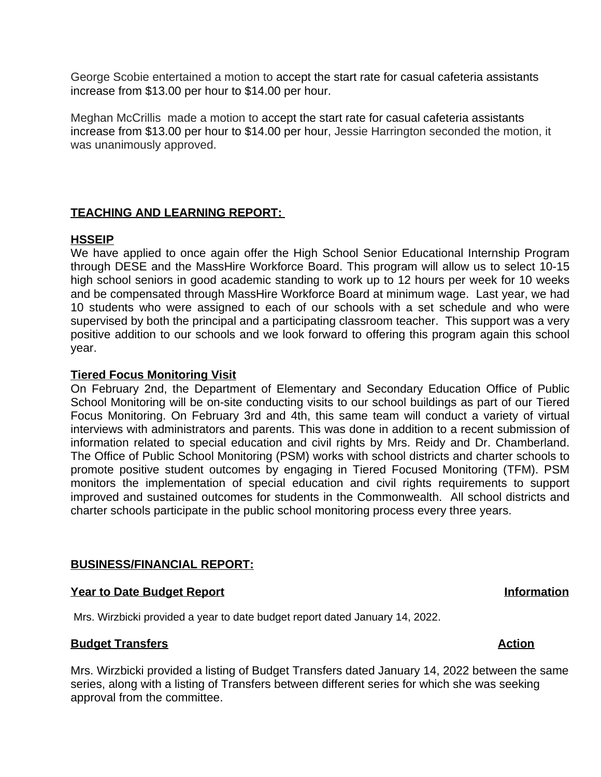George Scobie entertained a motion to accept the start rate for casual cafeteria assistants increase from \$13.00 per hour to \$14.00 per hour.

Meghan McCrillis made a motion to accept the start rate for casual cafeteria assistants increase from \$13.00 per hour to \$14.00 per hour, Jessie Harrington seconded the motion, it was unanimously approved.

# **TEACHING AND LEARNING REPORT:**

# **HSSEIP**

We have applied to once again offer the High School Senior Educational Internship Program through DESE and the MassHire Workforce Board. This program will allow us to select 10-15 high school seniors in good academic standing to work up to 12 hours per week for 10 weeks and be compensated through MassHire Workforce Board at minimum wage. Last year, we had 10 students who were assigned to each of our schools with a set schedule and who were supervised by both the principal and a participating classroom teacher. This support was a very positive addition to our schools and we look forward to offering this program again this school year.

# **Tiered Focus Monitoring Visit**

On February 2nd, the Department of Elementary and Secondary Education Office of Public School Monitoring will be on-site conducting visits to our school buildings as part of our Tiered Focus Monitoring. On February 3rd and 4th, this same team will conduct a variety of virtual interviews with administrators and parents. This was done in addition to a recent submission of information related to special education and civil rights by Mrs. Reidy and Dr. Chamberland. The Office of Public School Monitoring (PSM) works with school districts and charter schools to promote positive student outcomes by engaging in Tiered Focused Monitoring (TFM). PSM monitors the implementation of special education and civil rights requirements to support improved and sustained outcomes for students in the Commonwealth. All school districts and charter schools participate in the public school monitoring process every three years.

# **BUSINESS/FINANCIAL REPORT:**

# **Year to Date Budget Report Information**

Mrs. Wirzbicki provided a year to date budget report dated January 14, 2022.

# **Budget Transfers** Action

Mrs. Wirzbicki provided a listing of Budget Transfers dated January 14, 2022 between the same series, along with a listing of Transfers between different series for which she was seeking approval from the committee.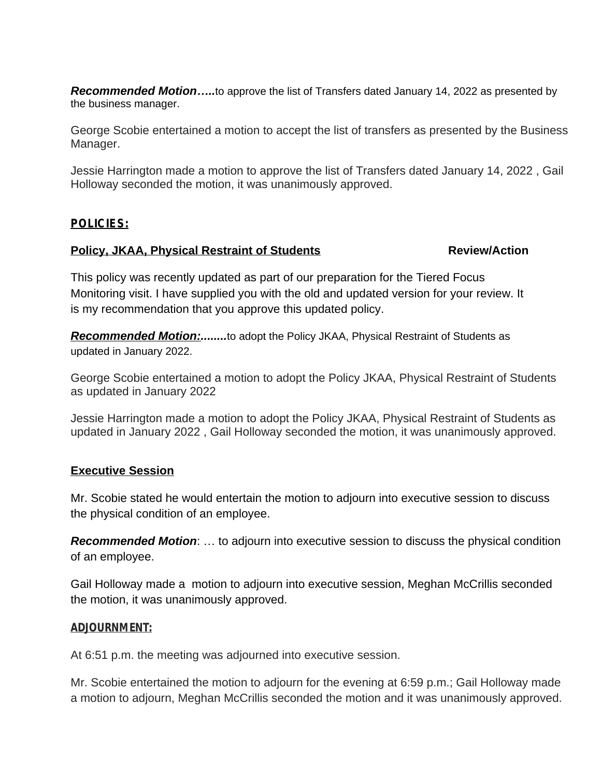*Recommended Motion…..*to approve the list of Transfers dated January 14, 2022 as presented by the business manager.

George Scobie entertained a motion to accept the list of transfers as presented by the Business Manager.

Jessie Harrington made a motion to approve the list of Transfers dated January 14, 2022 , Gail Holloway seconded the motion, it was unanimously approved.

# *POLICIES:*

# **Policy, JKAA, Physical Restraint of Students Manual Review/Action**

This policy was recently updated as part of our preparation for the Tiered Focus Monitoring visit. I have supplied you with the old and updated version for your review. It is my recommendation that you approve this updated policy.

*Recommended Motion:........*to adopt the Policy JKAA, Physical Restraint of Students as updated in January 2022.

George Scobie entertained a motion to adopt the Policy JKAA, Physical Restraint of Students as updated in January 2022

Jessie Harrington made a motion to adopt the Policy JKAA, Physical Restraint of Students as updated in January 2022 , Gail Holloway seconded the motion, it was unanimously approved.

# **Executive Session**

Mr. Scobie stated he would entertain the motion to adjourn into executive session to discuss the physical condition of an employee.

*Recommended Motion*: … to adjourn into executive session to discuss the physical condition of an employee.

Gail Holloway made a motion to adjourn into executive session, Meghan McCrillis seconded the motion, it was unanimously approved.

### **ADJOURNMENT:**

At 6:51 p.m. the meeting was adjourned into executive session.

Mr. Scobie entertained the motion to adjourn for the evening at 6:59 p.m.; Gail Holloway made a motion to adjourn, Meghan McCrillis seconded the motion and it was unanimously approved.